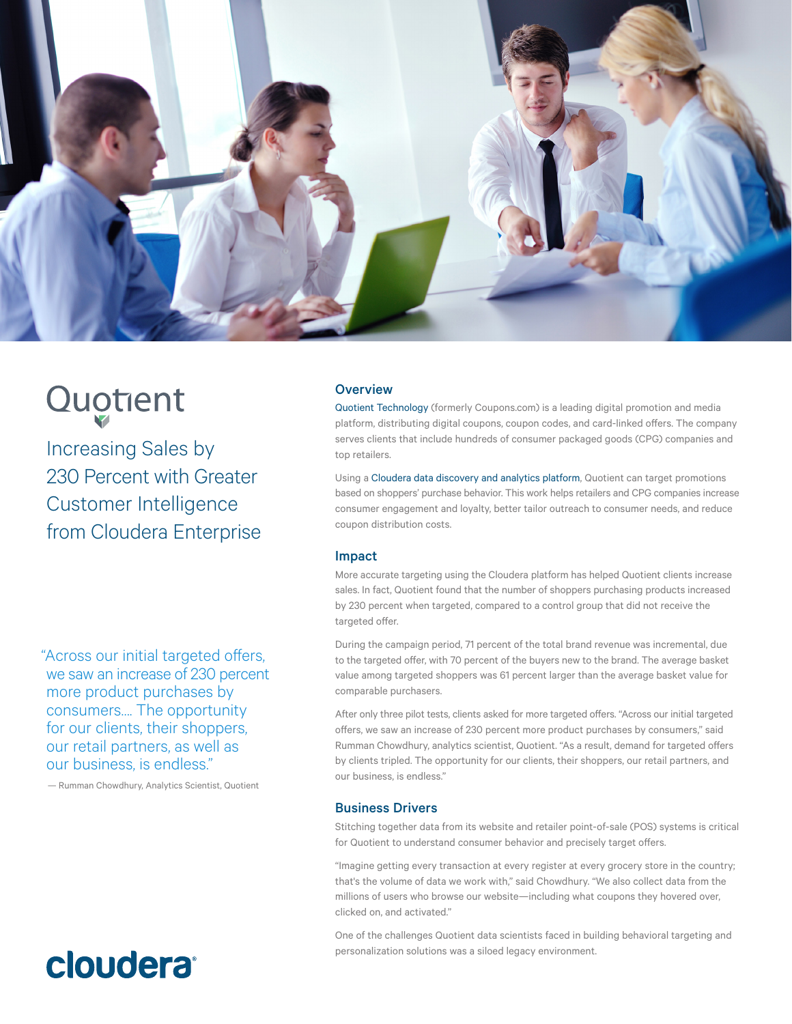

# Quotent

Increasing Sales by 230 Percent with Greater Customer Intelligence from Cloudera Enterprise

## **Overview**

[Quotient Technology](http://www.quotient.com/) (formerly Coupons.com) is a leading digital promotion and media platform, distributing digital coupons, coupon codes, and card-linked offers. The company serves clients that include hundreds of consumer packaged goods (CPG) companies and top retailers.

Using a [Cloudera data discovery and analytics platform,](http://cloudera.com/content/cloudera/en/solutions/enterprise-solutions/advanced-analytics.html) Quotient can target promotions based on shoppers' purchase behavior. This work helps retailers and CPG companies increase consumer engagement and loyalty, better tailor outreach to consumer needs, and reduce coupon distribution costs.

### Impact

More accurate targeting using the Cloudera platform has helped Quotient clients increase sales. In fact, Quotient found that the number of shoppers purchasing products increased by 230 percent when targeted, compared to a control group that did not receive the targeted offer.

During the campaign period, 71 percent of the total brand revenue was incremental, due to the targeted offer, with 70 percent of the buyers new to the brand. The average basket value among targeted shoppers was 61 percent larger than the average basket value for comparable purchasers.

After only three pilot tests, clients asked for more targeted offers. "Across our initial targeted offers, we saw an increase of 230 percent more product purchases by consumers," said Rumman Chowdhury, analytics scientist, Quotient. "As a result, demand for targeted offers by clients tripled. The opportunity for our clients, their shoppers, our retail partners, and our business, is endless."

## Business Drivers

Stitching together data from its website and retailer point-of-sale (POS) systems is critical for Quotient to understand consumer behavior and precisely target offers.

"Imagine getting every transaction at every register at every grocery store in the country; that's the volume of data we work with," said Chowdhury. "We also collect data from the millions of users who browse our website—including what coupons they hovered over, clicked on, and activated."

One of the challenges Quotient data scientists faced in building behavioral targeting and personalization solutions was a siloed legacy environment.

"Across our initial targeted offers, we saw an increase of 230 percent more product purchases by consumers…. The opportunity for our clients, their shoppers, our retail partners, as well as our business, is endless."

— Rumman Chowdhury, Analytics Scientist, Quotient

## **cloudera**